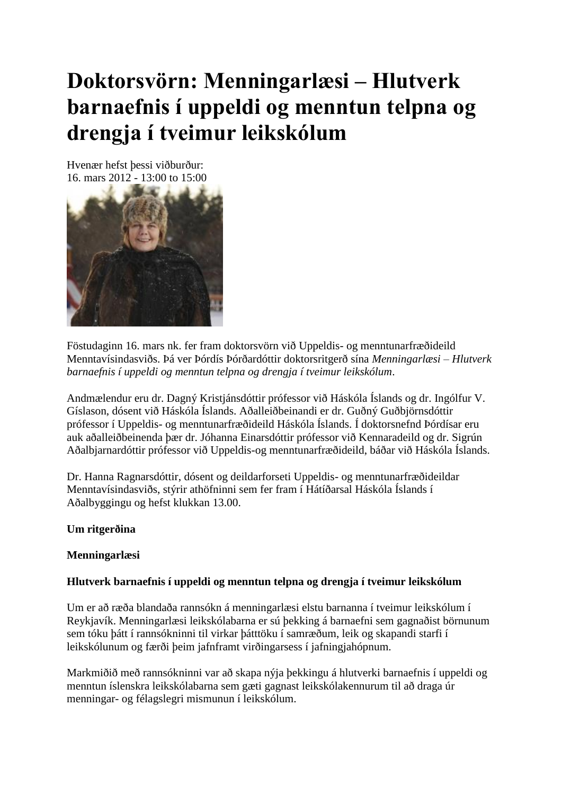# **Doktorsvörn: Menningarlæsi – Hlutverk barnaefnis í uppeldi og menntun telpna og drengja í tveimur leikskólum**

Hvenær hefst þessi viðburður: 16. mars 2012 - 13:00 to 15:00



Föstudaginn 16. mars nk. fer fram doktorsvörn við Uppeldis- og menntunarfræðideild Menntavísindasviðs. Þá ver Þórdís Þórðardóttir doktorsritgerð sína *Menningarlæsi – Hlutverk barnaefnis í uppeldi og menntun telpna og drengja í tveimur leikskólum*.

Andmælendur eru dr. Dagný Kristjánsdóttir prófessor við Háskóla Íslands og dr. Ingólfur V. Gíslason, dósent við Háskóla Íslands. Aðalleiðbeinandi er dr. Guðný Guðbjörnsdóttir prófessor í Uppeldis- og menntunarfræðideild Háskóla Íslands. Í doktorsnefnd Þórdísar eru auk aðalleiðbeinenda þær dr. Jóhanna Einarsdóttir prófessor við Kennaradeild og dr. Sigrún Aðalbjarnardóttir prófessor við Uppeldis-og menntunarfræðideild, báðar við Háskóla Íslands.

Dr. Hanna Ragnarsdóttir, dósent og deildarforseti Uppeldis- og menntunarfræðideildar Menntavísindasviðs, stýrir athöfninni sem fer fram í Hátíðarsal Háskóla Íslands í Aðalbyggingu og hefst klukkan 13.00.

## **Um ritgerðina**

## **Menningarlæsi**

## **Hlutverk barnaefnis í uppeldi og menntun telpna og drengja í tveimur leikskólum**

Um er að ræða blandaða rannsókn á menningarlæsi elstu barnanna í tveimur leikskólum í Reykjavík. Menningarlæsi leikskólabarna er sú þekking á barnaefni sem gagnaðist börnunum sem tóku þátt í rannsókninni til virkar þátttöku í samræðum, leik og skapandi starfi í leikskólunum og færði þeim jafnframt virðingarsess í jafningjahópnum.

Markmiðið með rannsókninni var að skapa nýja þekkingu á hlutverki barnaefnis í uppeldi og menntun íslenskra leikskólabarna sem gæti gagnast leikskólakennurum til að draga úr menningar- og félagslegri mismunun í leikskólum.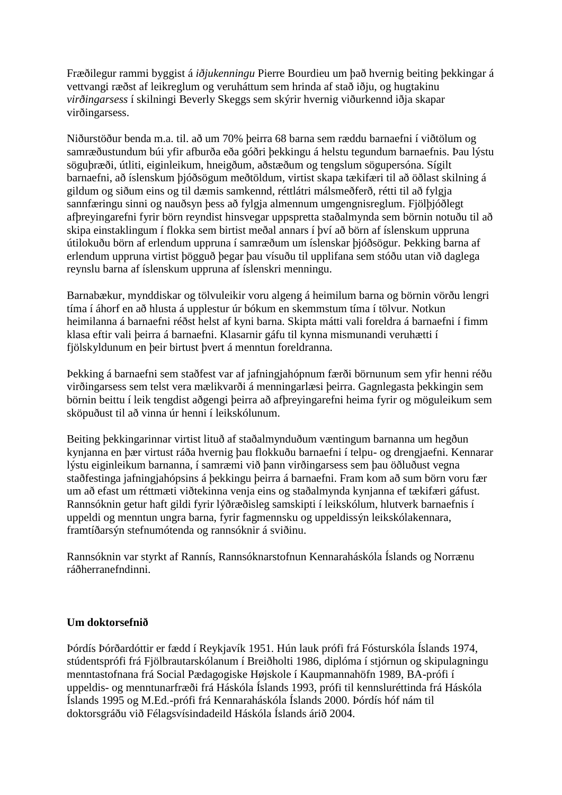Fræðilegur rammi byggist á *iðjukenningu* Pierre Bourdieu um það hvernig beiting þekkingar á vettvangi ræðst af leikreglum og veruháttum sem hrinda af stað iðju, og hugtakinu *virðingarsess* í skilningi Beverly Skeggs sem skýrir hvernig viðurkennd iðja skapar virðingarsess.

Niðurstöður benda m.a. til. að um 70% þeirra 68 barna sem ræddu barnaefni í viðtölum og samræðustundum búi yfir afburða eða góðri þekkingu á helstu tegundum barnaefnis. Þau lýstu söguþræði, útliti, eiginleikum, hneigðum, aðstæðum og tengslum sögupersóna. Sígilt barnaefni, að íslenskum þjóðsögum meðtöldum, virtist skapa tækifæri til að öðlast skilning á gildum og siðum eins og til dæmis samkennd, réttlátri málsmeðferð, rétti til að fylgja sannfæringu sinni og nauðsyn þess að fylgja almennum umgengnisreglum. Fjölþjóðlegt afþreyingarefni fyrir börn reyndist hinsvegar uppspretta staðalmynda sem börnin notuðu til að skipa einstaklingum í flokka sem birtist meðal annars í því að börn af íslenskum uppruna útilokuðu börn af erlendum uppruna í samræðum um íslenskar þjóðsögur. Þekking barna af erlendum uppruna virtist þögguð þegar þau vísuðu til upplifana sem stóðu utan við daglega reynslu barna af íslenskum uppruna af íslenskri menningu.

Barnabækur, mynddiskar og tölvuleikir voru algeng á heimilum barna og börnin vörðu lengri tíma í áhorf en að hlusta á upplestur úr bókum en skemmstum tíma í tölvur. Notkun heimilanna á barnaefni réðst helst af kyni barna. Skipta mátti vali foreldra á barnaefni í fimm klasa eftir vali þeirra á barnaefni. Klasarnir gáfu til kynna mismunandi veruhætti í fjölskyldunum en þeir birtust þvert á menntun foreldranna.

Þekking á barnaefni sem staðfest var af jafningjahópnum færði börnunum sem yfir henni réðu virðingarsess sem telst vera mælikvarði á menningarlæsi þeirra. Gagnlegasta þekkingin sem börnin beittu í leik tengdist aðgengi þeirra að afþreyingarefni heima fyrir og möguleikum sem sköpuðust til að vinna úr henni í leikskólunum.

Beiting þekkingarinnar virtist lituð af staðalmynduðum væntingum barnanna um hegðun kynjanna en þær virtust ráða hvernig þau flokkuðu barnaefni í telpu- og drengjaefni. Kennarar lýstu eiginleikum barnanna, í samræmi við þann virðingarsess sem þau öðluðust vegna staðfestinga jafningjahópsins á þekkingu þeirra á barnaefni. Fram kom að sum börn voru fær um að efast um réttmæti viðtekinna venja eins og staðalmynda kynjanna ef tækifæri gáfust. Rannsóknin getur haft gildi fyrir lýðræðisleg samskipti í leikskólum, hlutverk barnaefnis í uppeldi og menntun ungra barna, fyrir fagmennsku og uppeldissýn leikskólakennara, framtíðarsýn stefnumótenda og rannsóknir á sviðinu.

Rannsóknin var styrkt af Rannís, Rannsóknarstofnun Kennaraháskóla Íslands og Norrænu ráðherranefndinni.

## **Um doktorsefnið**

Þórdís Þórðardóttir er fædd í Reykjavík 1951. Hún lauk prófi frá Fósturskóla Íslands 1974, stúdentsprófi frá Fjölbrautarskólanum í Breiðholti 1986, diplóma í stjórnun og skipulagningu menntastofnana frá Social Pædagogiske Højskole í Kaupmannahöfn 1989, BA-prófi í uppeldis- og menntunarfræði frá Háskóla Íslands 1993, prófi til kennsluréttinda frá Háskóla Íslands 1995 og M.Ed.-prófi frá Kennaraháskóla Íslands 2000. Þórdís hóf nám til doktorsgráðu við Félagsvísindadeild Háskóla Íslands árið 2004.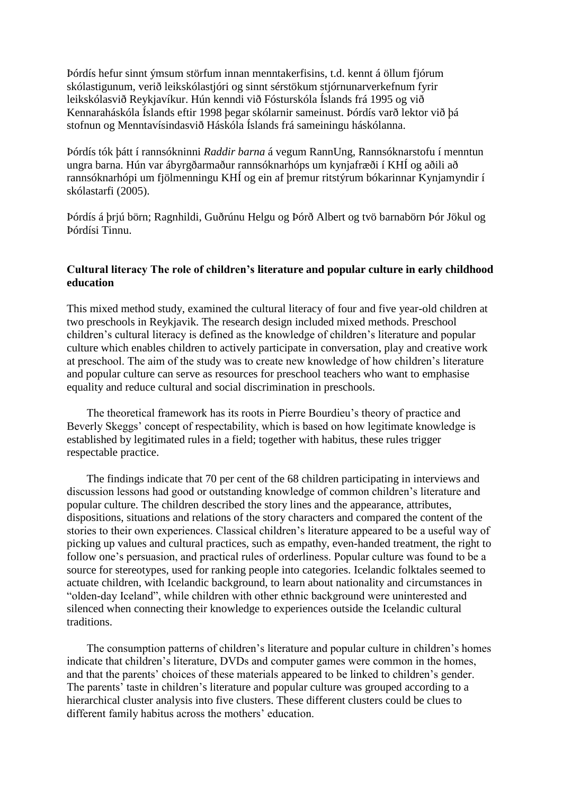Þórdís hefur sinnt ýmsum störfum innan menntakerfisins, t.d. kennt á öllum fjórum skólastigunum, verið leikskólastjóri og sinnt sérstökum stjórnunarverkefnum fyrir leikskólasvið Reykjavíkur. Hún kenndi við Fósturskóla Íslands frá 1995 og við Kennaraháskóla Íslands eftir 1998 þegar skólarnir sameinust. Þórdís varð lektor við þá stofnun og Menntavísindasvið Háskóla Íslands frá sameiningu háskólanna.

Þórdís tók þátt í rannsókninni *Raddir barna* á vegum RannUng, Rannsóknarstofu í menntun ungra barna. Hún var ábyrgðarmaður rannsóknarhóps um kynjafræði í KHÍ og aðili að rannsóknarhópi um fjölmenningu KHÍ og ein af þremur ritstýrum bókarinnar Kynjamyndir í skólastarfi (2005).

Þórdís á þrjú börn; Ragnhildi, Guðrúnu Helgu og Þórð Albert og tvö barnabörn Þór Jökul og Þórdísi Tinnu.

### **Cultural literacy The role of children's literature and popular culture in early childhood education**

This mixed method study, examined the cultural literacy of four and five year-old children at two preschools in Reykjavik. The research design included mixed methods. Preschool children's cultural literacy is defined as the knowledge of children's literature and popular culture which enables children to actively participate in conversation, play and creative work at preschool. The aim of the study was to create new knowledge of how children's literature and popular culture can serve as resources for preschool teachers who want to emphasise equality and reduce cultural and social discrimination in preschools.

 The theoretical framework has its roots in Pierre Bourdieu's theory of practice and Beverly Skeggs' concept of respectability, which is based on how legitimate knowledge is established by legitimated rules in a field; together with habitus, these rules trigger respectable practice.

 The findings indicate that 70 per cent of the 68 children participating in interviews and discussion lessons had good or outstanding knowledge of common children's literature and popular culture. The children described the story lines and the appearance, attributes, dispositions, situations and relations of the story characters and compared the content of the stories to their own experiences. Classical children's literature appeared to be a useful way of picking up values and cultural practices, such as empathy, even-handed treatment, the right to follow one's persuasion, and practical rules of orderliness. Popular culture was found to be a source for stereotypes, used for ranking people into categories. Icelandic folktales seemed to actuate children, with Icelandic background, to learn about nationality and circumstances in "olden-day Iceland", while children with other ethnic background were uninterested and silenced when connecting their knowledge to experiences outside the Icelandic cultural traditions.

 The consumption patterns of children's literature and popular culture in children's homes indicate that children's literature, DVDs and computer games were common in the homes, and that the parents' choices of these materials appeared to be linked to children's gender. The parents' taste in children's literature and popular culture was grouped according to a hierarchical cluster analysis into five clusters. These different clusters could be clues to different family habitus across the mothers' education.